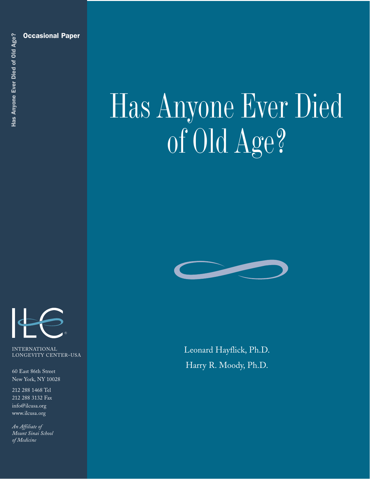

INTERNATIONAL LONGEVITY CENTER–USA

60 East 86th Street New York, NY 10028

212 288 1468 Tel 212 288 3132 Fax info@ilcusa.org www.ilcusa.org

*An Affiliate of Mount Sinai School* 

# Has Anyone Ever Died of Old Age?



Leonard Hayflick, Ph.D. Harry R. Moody, Ph.D.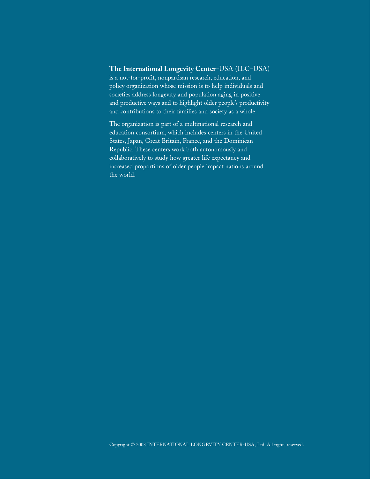### **The International Longevity Center**–USA (ILC–USA)

is a not-for-profit, nonpartisan research, education, and policy organization whose mission is to help individuals and societies address longevity and population aging in positive and productive ways and to highlight older people's productivity and contributions to their families and society as a whole.

The organization is part of a multinational research and education consortium, which includes centers in the United States, Japan, Great Britain, France, and the Dominican Republic. These centers work both autonomously and collaboratively to study how greater life expectancy and increased proportions of older people impact nations around the world.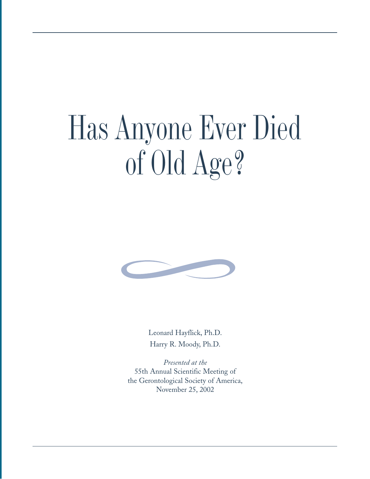# Has Anyone Ever Died of Old Age?



Leonard Hayflick, Ph.D. Harry R. Moody, Ph.D.

*Presented at the* 55th Annual Scientific Meeting of the Gerontological Society of America, November 25, 2002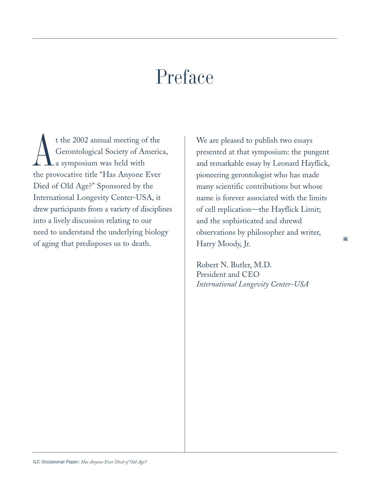## Preface

A t the 2002 annual meeting of the Gerontological Society of America, a symposium was held with the provocative title "Has Anyone Ever Died of Old Age?" Sponsored by the International Longevity Center-USA, it drew participants from a variety of disciplines into a lively discussion relating to our need to understand the underlying biology of aging that predisposes us to death.  $\begin{array}{c|c}\n\hline\n\end{array}$  Harry Moody, Jr.

We are pleased to publish two essays presented at that symposium: the pungent and remarkable essay by Leonard Hayflick, pioneering gerontologist who has made many scientific contributions but whose name is forever associated with the limits of cell replication—the Hayflick Limit; and the sophisticated and shrewd observations by philosopher and writer, Harry Moody, Jr.

Robert N. Butler, M.D. President and CEO *International Longevity Center-USA*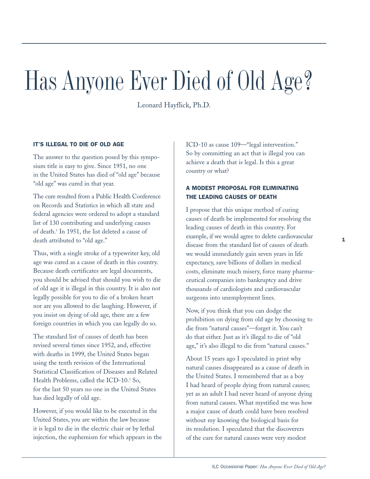# Has Anyone Ever Died of Old Age?

Leonard Hayflick, Ph.D.

### IT'S ILLEGAL TO DIE OF OLD AGE

The answer to the question posed by this symposium title is easy to give. Since 1951, no one in the United States has died of "old age" because "old age" was cured in that year.

The cure resulted from a Public Health Conference on Records and Statistics in which all state and federal agencies were ordered to adopt a standard list of 130 contributing and underlying causes of death.1 In 1951, the list deleted a cause of death attributed to "old age."

Thus, with a single stroke of a typewriter key, old age was cured as a cause of death in this country. Because death certificates are legal documents, you should be advised that should you wish to die of old age it is illegal in this country. It is also not legally possible for you to die of a broken heart nor are you allowed to die laughing. However, if you insist on dying of old age, there are a few foreign countries in which you can legally do so.

The standard list of causes of death has been revised several times since 1952, and, effective with deaths in 1999, the United States began using the tenth revision of the International Statistical Classification of Diseases and Related Health Problems, called the ICD-10.<sup>2</sup> So, for the last 50 years no one in the United States has died legally of old age.

However, if you would like to be executed in the United States, you are within the law because it is legal to die in the electric chair or by lethal injection, the euphemism for which appears in the ICD-10 as cause 109—"legal intervention." So by committing an act that is illegal you can achieve a death that is legal. Is this a great country or what?

### A MODEST PROPOSAL FOR ELIMINATING THE LEADING CAUSES OF DEATH

I propose that this unique method of curing causes of death be implemented for resolving the leading causes of death in this country. For example, if we would agree to delete cardiovascular disease from the standard list of causes of death we would immediately gain seven years in life expectancy, save billions of dollars in medical costs, eliminate much misery, force many pharmaceutical companies into bankruptcy and drive thousands of cardiologists and cardiovascular surgeons into unemployment lines.

Now, if you think that you can dodge the prohibition on dying from old age by choosing to die from "natural causes"—forget it. You can't do that either. Just as it's illegal to die of "old age," it's also illegal to die from "natural causes."

About 15 years ago I speculated in print why natural causes disappeared as a cause of death in the United States. I remembered that as a boy I had heard of people dying from natural causes; yet as an adult I had never heard of anyone dying from natural causes. What mystified me was how a major cause of death could have been resolved without my knowing the biological basis for its resolution. I speculated that the discoverers of the cure for natural causes were very modest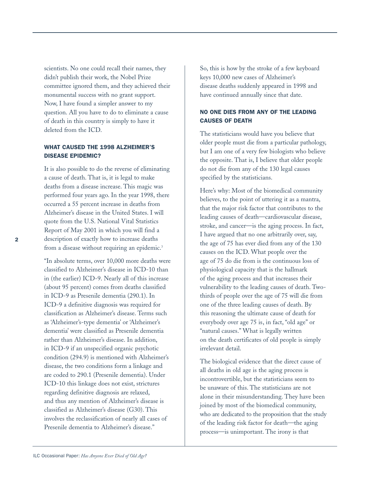scientists. No one could recall their names, they didn't publish their work, the Nobel Prize committee ignored them, and they achieved their monumental success with no grant support. Now, I have found a simpler answer to my question. All you have to do to eliminate a cause of death in this country is simply to have it deleted from the ICD.

### WHAT CAUSED THE 1998 ALZHEIMER'S DISEASE EPIDEMIC?

It is also possible to do the reverse of eliminating a cause of death. That is, it is legal to make deaths from a disease increase. This magic was performed four years ago. In the year 1998, there occurred a 55 percent increase in deaths from Alzheimer's disease in the United States. I will quote from the U.S. National Vital Statistics Report of May 2001 in which you will find a description of exactly how to increase deaths from a disease without requiring an epidemic.<sup>3</sup>

"In absolute terms, over 10,000 more deaths were classified to Alzheimer's disease in ICD-10 than in (the earlier) ICD-9. Nearly all of this increase (about 95 percent) comes from deaths classified in ICD-9 as Presenile dementia (290.1). In ICD-9 a definitive diagnosis was required for classification as Alzheimer's disease. Terms such as 'Alzheimer's-type dementia' or 'Alzheimer's dementia' were classified as Presenile dementia rather than Alzheimer's disease. In addition, in ICD-9 if an unspecified organic psychotic condition (294.9) is mentioned with Alzheimer's disease, the two conditions form a linkage and are coded to 290.1 (Presenile dementia). Under ICD-10 this linkage does not exist, strictures regarding definitive diagnosis are relaxed, and thus any mention of Alzheimer's disease is classified as Alzheimer's disease (G30). This involves the reclassification of nearly all cases of Presenile dementia to Alzheimer's disease."

So, this is how by the stroke of a few keyboard keys 10,000 new cases of Alzheimer's disease deaths suddenly appeared in 1998 and have continued annually since that date.

### NO ONE DIES FROM ANY OF THE LEADING CAUSES OF DEATH

The statisticians would have you believe that older people must die from a particular pathology, but I am one of a very few biologists who believe the opposite. That is, I believe that older people do not die from any of the 130 legal causes specified by the statisticians.

Here's why: Most of the biomedical community believes, to the point of uttering it as a mantra, that the major risk factor that contributes to the leading causes of death—cardiovascular disease, stroke, and cancer—is the aging process. In fact, I have argued that no one arbitrarily over, say, the age of 75 has ever died from any of the 130 causes on the ICD. What people over the age of 75 do die from is the continuous loss of physiological capacity that is the hallmark of the aging process and that increases their vulnerability to the leading causes of death. Twothirds of people over the age of 75 will die from one of the three leading causes of death. By this reasoning the ultimate cause of death for everybody over age 75 is, in fact, "old age" or "natural causes." What is legally written on the death certificates of old people is simply irrelevant detail.

The biological evidence that the direct cause of all deaths in old age is the aging process is incontrovertible, but the statisticians seem to be unaware of this. The statisticians are not alone in their misunderstanding. They have been joined by most of the biomedical community, who are dedicated to the proposition that the study of the leading risk factor for death—the aging process—is unimportant. The irony is that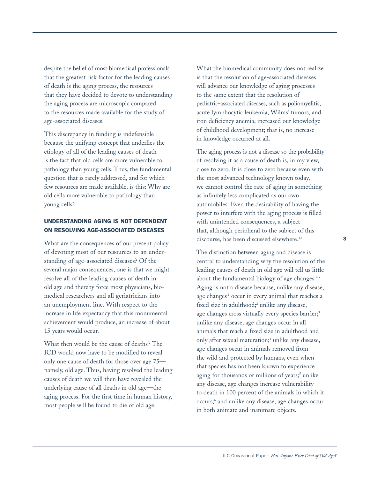despite the belief of most biomedical professionals that the greatest risk factor for the leading causes of death is the aging process, the resources that they have decided to devote to understanding the aging process are microscopic compared to the resources made available for the study of age-associated diseases.

This discrepancy in funding is indefensible because the unifying concept that underlies the etiology of all of the leading causes of death is the fact that old cells are more vulnerable to pathology than young cells. Thus, the fundamental question that is rarely addressed, and for which few resources are made available, is this: Why are old cells more vulnerable to pathology than young cells?

### UNDERSTANDING AGING IS NOT DEPENDENT ON RESOLVING AGE-ASSOCIATED DISEASES

What are the consequences of our present policy of devoting most of our resources to an understanding of age-associated diseases? Of the several major consequences, one is that we might resolve all of the leading causes of death in old age and thereby force most physicians, biomedical researchers and all geriatricians into an unemployment line. With respect to the increase in life expectancy that this monumental achievement would produce, an increase of about 15 years would occur.

What then would be the cause of deaths? The ICD would now have to be modified to reveal only one cause of death for those over age 75 namely, old age. Thus, having resolved the leading causes of death we will then have revealed the underlying cause of all deaths in old age—the aging process. For the first time in human history, most people will be found to die of old age.

What the biomedical community does not realize is that the resolution of age-associated diseases will advance our knowledge of aging processes to the same extent that the resolution of pediatric-associated diseases, such as poliomyelitis, acute lymphocytic leukemia, Wilms' tumors, and iron deficiency anemia, increased our knowledge of childhood development; that is, no increase in knowledge occurred at all.

The aging process is not a disease so the probability of resolving it as a cause of death is, in my view, close to zero. It is close to zero because even with the most advanced technology known today, we cannot control the rate of aging in something as infinitely less complicated as our own automobiles. Even the desirability of having the power to interfere with the aging process is filled with unintended consequences, a subject that, although peripheral to the subject of this discourse, has been discussed elsewhere.<sup>4,5</sup>

The distinction between aging and disease is central to understanding why the resolution of the leading causes of death in old age will tell us little about the fundamental biology of age changes.<sup>4,5</sup> Aging is not a disease because, unlike any disease, age changes<sup>1</sup> occur in every animal that reaches a fixed size in adulthood;<sup>2</sup> unlike any disease, age changes cross virtually every species barrier;<sup>3</sup> unlike any disease, age changes occur in all animals that reach a fixed size in adulthood and only after sexual maturation;<sup>4</sup> unlike any disease, age changes occur in animals removed from the wild and protected by humans, even when that species has not been known to experience aging for thousands or millions of years;<sup>5</sup> unlike any disease, age changes increase vulnerability to death in 100 percent of the animals in which it occurs;6 and unlike any disease, age changes occur in both animate and inanimate objects.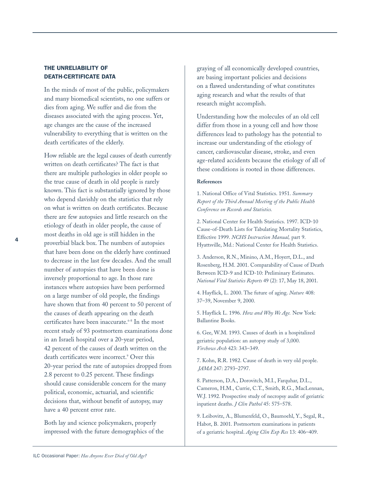### THE UNRELIABILITY OF DEATH-CERTIFICATE DATA

In the minds of most of the public, policymakers and many biomedical scientists, no one suffers or dies from aging. We suffer and die from the diseases associated with the aging process. Yet, age changes are the cause of the increased vulnerability to everything that is written on the death certificates of the elderly.

How reliable are the legal causes of death currently written on death certificates? The fact is that there are multiple pathologies in older people so the true cause of death in old people is rarely known. This fact is substantially ignored by those who depend slavishly on the statistics that rely on what is written on death certificates. Because there are few autopsies and little research on the etiology of death in older people, the cause of most deaths in old age is still hidden in the proverbial black box. The numbers of autopsies that have been done on the elderly have continued to decrease in the last few decades. And the small number of autopsies that have been done is inversely proportional to age. In those rare instances where autopsies have been performed on a large number of old people, the findings have shown that from 40 percent to 50 percent of the causes of death appearing on the death certificates have been inaccurate.<sup>6-8</sup> In the most recent study of 93 postmortem examinations done in an Israeli hospital over a 20-year period, 42 percent of the causes of death written on the death certificates were incorrect.<sup>9</sup> Over this 20-year period the rate of autopsies dropped from 2.8 percent to 0.25 percent. These findings should cause considerable concern for the many political, economic, actuarial, and scientific decisions that, without benefit of autopsy, may have a 40 percent error rate.

Both lay and science policymakers, properly impressed with the future demographics of the graying of all economically developed countries, are basing important policies and decisions on a flawed understanding of what constitutes aging research and what the results of that research might accomplish.

Understanding how the molecules of an old cell differ from those in a young cell and how those differences lead to pathology has the potential to increase our understanding of the etiology of cancer, cardiovascular disease, stroke, and even age-related accidents because the etiology of all of these conditions is rooted in those differences.

### **References**

1. National Office of Vital Statistics. 1951. *Summary Report of the Third Annual Meeting of the Public Health Conference on Records and Statistics.*

2. National Center for Health Statistics. 1997. ICD-10 Cause-of-Death Lists for Tabulating Mortality Statistics, Effective 1999. *NCHS Instruction Manual,* part 9. Hyattsville, Md.: National Center for Health Statistics.

3. Anderson, R.N., Minino, A.M., Hoyert, D.L., and Rosenberg, H.M. 2001. Comparability of Cause of Death Between ICD-9 and ICD-10: Preliminary Estimates. *National Vital Statistics Reports* 49 (2): 17, May 18, 2001.

4. Hayflick, L. 2000. The future of aging. *Nature* 408: 37–39, November 9, 2000.

5. Hayflick L. 1996. *How and Why We Age.* New York: Ballantine Books.

6. Gee, W.M. 1993. Causes of death in a hospitalized geriatric population: an autopsy study of 3,000. *Virchows Arch* 423: 343–349.

7. Kohn, R.R. 1982. Cause of death in very old people. *JAMA* 247: 2793–2797.

8. Patterson, D.A., Dorovitch, M.I., Farquhar, D.L., Cameron, H.M., Currie, C.T., Smith, R.G., MacLennan, W.J. 1992. Prospective study of necropsy audit of geriatric inpatient deaths. *J Clin Pathol* 45: 575–578.

9. Leibovitz, A., Blumenfeld, O., Baumoehl, Y., Segal, R., Habot, B. 2001. Postmortem examinations in patients of a geriatric hospital. *Aging Clin Exp Res* 13: 406–409.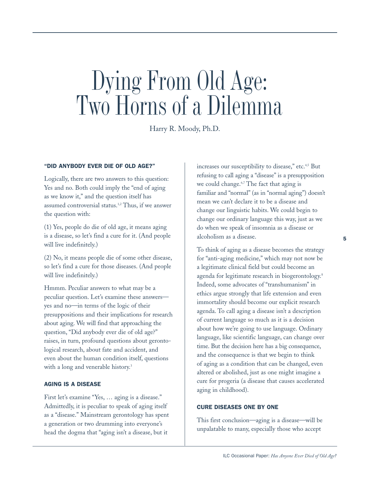## Dying From Old Age: Two Horns of a Dilemma

Harry R. Moody, Ph.D.

### "DID ANYBODY EVER DIE OF OLD AGE?"

Logically, there are two answers to this question: Yes and no. Both could imply the "end of aging as we know it," and the question itself has assumed controversial status.1,2 Thus, if we answer the question with:

(1) Yes, people do die of old age, it means aging is a disease, so let's find a cure for it. (And people will live indefinitely.)

(2) No, it means people die of some other disease, so let's find a cure for those diseases. (And people will live indefinitely.)

Hmmm. Peculiar answers to what may be a peculiar question. Let's examine these answers yes and no—in terms of the logic of their presuppositions and their implications for research about aging. We will find that approaching the question, "Did anybody ever die of old age?" raises, in turn, profound questions about gerontological research, about fate and accident, and even about the human condition itself, questions with a long and venerable history.<sup>3</sup>

#### AGING IS A DISEASE

First let's examine "Yes, … aging is a disease." Admittedly, it is peculiar to speak of aging itself as a "disease." Mainstream gerontology has spent a generation or two drumming into everyone's head the dogma that "aging isn't a disease, but it

increases our susceptibility to disease," etc.<sup>4,5</sup> But refusing to call aging a "disease" is a presupposition we could change.<sup>6,7</sup> The fact that aging is familiar and "normal" (as in "normal aging") doesn't mean we can't declare it to be a disease and change our linguistic habits. We could begin to change our ordinary language this way, just as we do when we speak of insomnia as a disease or alcoholism as a disease.

To think of aging as a disease becomes the strategy for "anti-aging medicine," which may not now be a legitimate clinical field but could become an agenda for legitimate research in biogerontology.<sup>8</sup> Indeed, some advocates of "transhumanism" in ethics argue strongly that life extension and even immortality should become our explicit research agenda. To call aging a disease isn't a description of current language so much as it is a decision about how we're going to use language. Ordinary language, like scientific language, can change over time. But the decision here has a big consequence, and the consequence is that we begin to think of aging as a condition that can be changed, even altered or abolished, just as one might imagine a cure for progeria (a disease that causes accelerated aging in childhood).

### CURE DISEASES ONE BY ONE

This first conclusion—aging is a disease—will be unpalatable to many, especially those who accept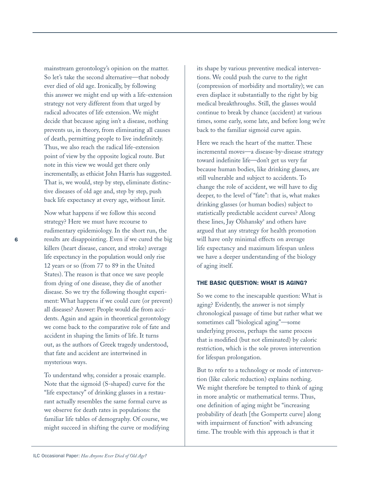mainstream gerontology's opinion on the matter. So let's take the second alternative—that nobody ever died of old age. Ironically, by following this answer we might end up with a life-extension strategy not very different from that urged by radical advocates of life extension. We might decide that because aging isn't a disease, nothing prevents us, in theory, from eliminating all causes of death, permitting people to live indefinitely. Thus, we also reach the radical life-extension point of view by the opposite logical route. But note in this view we would get there only incrementally, as ethicist John Harris has suggested. That is, we would, step by step, eliminate distinctive diseases of old age and, step by step, push back life expectancy at every age, without limit.

Now what happens if we follow this second strategy? Here we must have recourse to rudimentary epidemiology. In the short run, the results are disappointing. Even if we cured the big killers (heart disease, cancer, and stroke) average life expectancy in the population would only rise 12 years or so (from 77 to 89 in the United States). The reason is that once we save people from dying of one disease, they die of another disease. So we try the following thought experiment: What happens if we could cure (or prevent) all diseases? Answer: People would die from accidents. Again and again in theoretical gerontology we come back to the comparative role of fate and accident in shaping the limits of life. It turns out, as the authors of Greek tragedy understood, that fate and accident are intertwined in mysterious ways.

To understand why, consider a prosaic example. Note that the sigmoid (S-shaped) curve for the "life expectancy" of drinking glasses in a restaurant actually resembles the same formal curve as we observe for death rates in populations: the familiar life tables of demography. Of course, we might succeed in shifting the curve or modifying its shape by various preventive medical interventions. We could push the curve to the right (compression of morbidity and mortality); we can even displace it substantially to the right by big medical breakthroughs. Still, the glasses would continue to break by chance (accident) at various times, some early, some late, and before long we're back to the familiar sigmoid curve again.

Here we reach the heart of the matter. These incremental moves—a disease-by-disease strategy toward indefinite life—don't get us very far because human bodies, like drinking glasses, are still vulnerable and subject to accidents. To change the role of accident, we will have to dig deeper, to the level of "fate": that is, what makes drinking glasses (or human bodies) subject to statistically predictable accident curves? Along these lines, Jay Olshansky<sup>9</sup> and others have argued that any strategy for health promotion will have only minimal effects on average life expectancy and maximum lifespan unless we have a deeper understanding of the biology of aging itself.

### THE BASIC QUESTION: WHAT IS AGING?

So we come to the inescapable question: What is aging? Evidently, the answer is not simply chronological passage of time but rather what we sometimes call "biological aging"—some underlying process, perhaps the same process that is modified (but not eliminated) by caloric restriction, which is the sole proven intervention for lifespan prolongation.

But to refer to a technology or mode of intervention (like caloric reduction) explains nothing. We might therefore be tempted to think of aging in more analytic or mathematical terms. Thus, one definition of aging might be "increasing probability of death [the Gompertz curve] along with impairment of function" with advancing time. The trouble with this approach is that it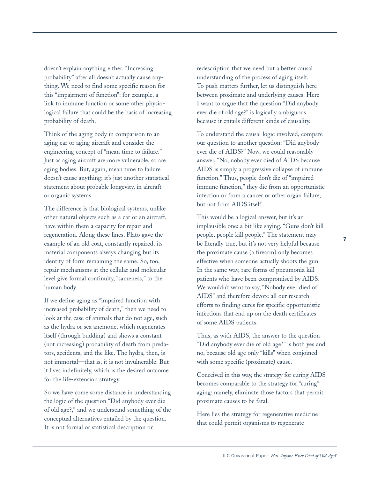doesn't explain anything either. "Increasing probability" after all doesn't actually cause anything. We need to find some specific reason for this "impairment of function": for example, a link to immune function or some other physiological failure that could be the basis of increasing probability of death.

Think of the aging body in comparison to an aging car or aging aircraft and consider the engineering concept of "mean time to failure." Just as aging aircraft are more vulnerable, so are aging bodies. But, again, mean time to failure doesn't cause anything; it's just another statistical statement about probable longevity, in aircraft or organic systems.

The difference is that biological systems, unlike other natural objects such as a car or an aircraft, have within them a capacity for repair and regeneration. Along these lines, Plato gave the example of an old coat, constantly repaired, its material components always changing but its identity of form remaining the same. So, too, repair mechanisms at the cellular and molecular level give formal continuity, "sameness," to the human body.

If we define aging as "impaired function with increased probability of death," then we need to look at the case of animals that do not age, such as the hydra or sea anemone, which regenerates itself (through budding) and shows a constant (not increasing) probability of death from predators, accidents, and the like. The hydra, then, is not immortal—that is, it is not invulnerable. But it lives indefinitely, which is the desired outcome for the life-extension strategy.

So we have come some distance in understanding the logic of the question "Did anybody ever die of old age?," and we understand something of the conceptual alternatives entailed by the question. It is not formal or statistical description or

redescription that we need but a better causal understanding of the process of aging itself. To push matters further, let us distinguish here between proximate and underlying causes. Here I want to argue that the question "Did anybody ever die of old age?" is logically ambiguous because it entails different kinds of causality.

To understand the causal logic involved, compare our question to another question: "Did anybody ever die of AIDS?" Now, we could reasonably answer, "No, nobody ever died of AIDS because AIDS is simply a progressive collapse of immune function." Thus, people don't die of "impaired immune function," they die from an opportunistic infection or from a cancer or other organ failure, but not from AIDS itself.

This would be a logical answer, but it's an implausible one: a bit like saying, "Guns don't kill people, people kill people." The statement may be literally true, but it's not very helpful because the proximate cause (a firearm) only becomes effective when someone actually shoots the gun. In the same way, rare forms of pneumonia kill patients who have been compromised by AIDS. We wouldn't want to say, "Nobody ever died of AIDS" and therefore devote all our research efforts to finding cures for specific opportunistic infections that end up on the death certificates of some AIDS patients.

Thus, as with AIDS, the answer to the question "Did anybody ever die of old age?" is both yes and no, because old age only "kills" when conjoined with some specific (proximate) cause.

Conceived in this way, the strategy for curing AIDS becomes comparable to the strategy for "curing" aging: namely, eliminate those factors that permit proximate causes to be fatal.

Here lies the strategy for regenerative medicine that could permit organisms to regenerate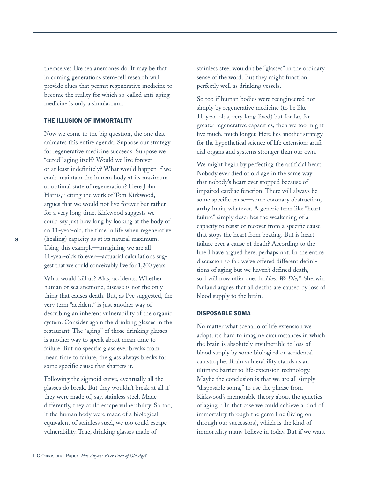themselves like sea anemones do. It may be that in coming generations stem-cell research will provide clues that permit regenerative medicine to become the reality for which so-called anti-aging medicine is only a simulacrum.

### THE ILLUSION OF IMMORTALITY

Now we come to the big question, the one that animates this entire agenda. Suppose our strategy for regenerative medicine succeeds. Suppose we "cured" aging itself? Would we live forever or at least indefinitely? What would happen if we could maintain the human body at its maximum or optimal state of regeneration? Here John Harris,<sup>10</sup> citing the work of Tom Kirkwood, argues that we would not live forever but rather for a very long time. Kirkwood suggests we could say just how long by looking at the body of an 11-year-old, the time in life when regenerative (healing) capacity as at its natural maximum. Using this example—imagining we are all 11-year-olds forever—actuarial calculations suggest that we could conceivably live for 1,200 years.

What would kill us? Alas, accidents. Whether human or sea anemone, disease is not the only thing that causes death. But, as I've suggested, the very term "accident" is just another way of describing an inherent vulnerability of the organic system. Consider again the drinking glasses in the restaurant. The "aging" of those drinking glasses is another way to speak about mean time to failure. But no specific glass ever breaks from mean time to failure, the glass always breaks for some specific cause that shatters it.

Following the sigmoid curve, eventually all the glasses do break. But they wouldn't break at all if they were made of, say, stainless steel. Made differently, they could escape vulnerability. So too, if the human body were made of a biological equivalent of stainless steel, we too could escape vulnerability. True, drinking glasses made of

stainless steel wouldn't be "glasses" in the ordinary sense of the word. But they might function perfectly well as drinking vessels.

So too if human bodies were reengineered not simply by regenerative medicine (to be like 11-year-olds, very long-lived) but for far, far greater regenerative capacities, then we too might live much, much longer. Here lies another strategy for the hypothetical science of life extension: artificial organs and systems stronger than our own.

We might begin by perfecting the artificial heart. Nobody ever died of old age in the same way that nobody's heart ever stopped because of impaired cardiac function. There will always be some specific cause—some coronary obstruction, arrhythmia, whatever. A generic term like "heart failure" simply describes the weakening of a capacity to resist or recover from a specific cause that stops the heart from beating. But is heart failure ever a cause of death? According to the line I have argued here, perhaps not. In the entire discussion so far, we've offered different definitions of aging but we haven't defined death, so I will now offer one. In *How We Die,*<sup>11</sup> Sherwin Nuland argues that all deaths are caused by loss of blood supply to the brain.

### DISPOSABLE SOMA

No matter what scenario of life extension we adopt, it's hard to imagine circumstances in which the brain is absolutely invulnerable to loss of blood supply by some biological or accidental catastrophe. Brain vulnerability stands as an ultimate barrier to life-extension technology. Maybe the conclusion is that we are all simply "disposable soma," to use the phrase from Kirkwood's memorable theory about the genetics of aging.12 In that case we could achieve a kind of immortality through the germ line (living on through our successors), which is the kind of immortality many believe in today. But if we want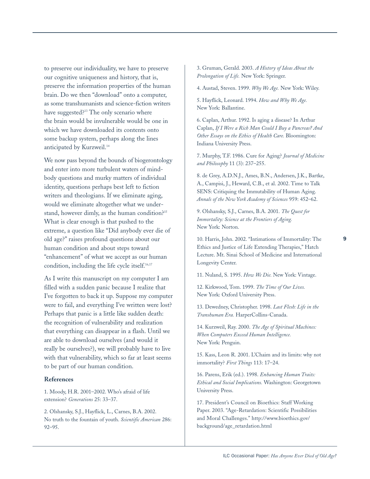to preserve our individuality, we have to preserve our cognitive uniqueness and history, that is, preserve the information properties of the human brain. Do we then "download" onto a computer, as some transhumanists and science-fiction writers have suggested?13 The only scenario where the brain would be invulnerable would be one in which we have downloaded its contents onto some backup system, perhaps along the lines anticipated by Kurzweil.<sup>14</sup>

We now pass beyond the bounds of biogerontology and enter into more turbulent waters of mindbody questions and murky matters of individual identity, questions perhaps best left to fiction writers and theologians. If we eliminate aging, would we eliminate altogether what we understand, however dimly, as the human condition?<sup>15</sup> What is clear enough is that pushed to the extreme, a question like "Did anybody ever die of old age?" raises profound questions about our human condition and about steps toward "enhancement" of what we accept as our human condition, including the life cycle itself.<sup>16,17</sup>

As I write this manuscript on my computer I am filled with a sudden panic because I realize that I've forgotten to back it up. Suppose my computer were to fail, and everything I've written were lost? Perhaps that panic is a little like sudden death: the recognition of vulnerability and realization that everything can disappear in a flash. Until we are able to download ourselves (and would it really be ourselves?), we will probably have to live with that vulnerability, which so far at least seems to be part of our human condition.

#### **References**

1. Moody, H.R. 2001–2002. Who's afraid of life extension? *Generations* 25: 33–37.

2. Olshansky, S.J., Hayflick, L., Carnes, B.A. 2002. No truth to the fountain of youth. *Scientific American* 286: 92–95.

3. Gruman, Gerald. 2003. *A History of Ideas About the Prolongation of Life.* New York: Springer.

4. Austad, Steven. 1999. *Why We Age.* New York: Wiley.

5. Hayflick, Leonard. 1994. *How and Why We Age.* New York: Ballantine.

6. Caplan, Arthur. 1992. Is aging a disease? In Arthur Caplan, *If I Were a Rich Man Could I Buy a Pancreas? And Other Essays on the Ethics of Health Care.* Bloomington: Indiana University Press.

7. Murphy, T.F. 1986. Cure for Aging? *Journal of Medicine and Philosophy* 11 (3): 237–255.

8. de Grey, A.D.N.J., Ames, B.N., Andersen, J.K., Bartke, A., Campisi, J., Heward, C.B., et al. 2002. Time to Talk SENS: Critiquing the Immutability of Human Aging. *Annals of the New York Academy of Sciences* 959: 452–62.

9. Olshansky, S.J., Carnes, B.A. 2001. *The Quest for Immortality: Science at the Frontiers of Aging.* New York: Norton.

10. Harris, John. 2002. "Intimations of Immortality: The Ethics and Justice of Life Extending Therapies," Hatch Lecture. Mt. Sinai School of Medicine and International Longevity Center.

11. Nuland, S. 1995. *How We Die.* New York: Vintage.

12. Kirkwood, Tom. 1999. *The Time of Our Lives.* New York: Oxford University Press.

13. Dewedney, Christopher. 1998. *Last Flesh: Life in the Transhuman Era.* HarperCollins-Canada.

14. Kurzweil, Ray. 2000. *The Age of Spiritual Machines: When Computers Exceed Human Intelligence.* New York: Penguin.

15. Kass, Leon R. 2001. L'Chaim and its limits: why not immortality? *First Things* 113: 17–24.

16. Parens, Erik (ed.). 1998. *Enhancing Human Traits: Ethical and Social Implications.* Washington: Georgetown University Press.

17. President's Council on Bioethics: Staff Working Paper. 2003. "Age-Retardation: Scientific Possibilities and Moral Challenges." http://www.bioethics.gov/ background/age\_retardation.html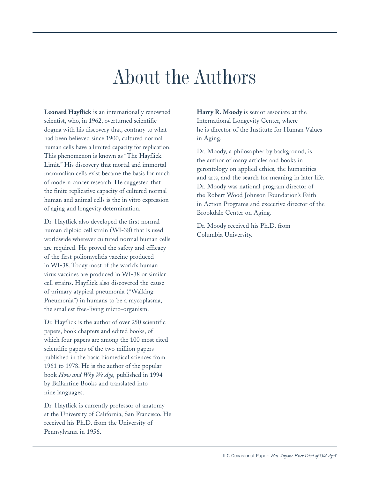## About the Authors

**Leonard Hayflick** is an internationally renowned scientist, who, in 1962, overturned scientific dogma with his discovery that, contrary to what had been believed since 1900, cultured normal human cells have a limited capacity for replication. This phenomenon is known as "The Hayflick Limit." His discovery that mortal and immortal mammalian cells exist became the basis for much of modern cancer research. He suggested that the finite replicative capacity of cultured normal human and animal cells is the in vitro expression of aging and longevity determination.

Dr. Hayflick also developed the first normal human diploid cell strain (WI-38) that is used worldwide wherever cultured normal human cells are required. He proved the safety and efficacy of the first poliomyelitis vaccine produced in WI-38. Today most of the world's human virus vaccines are produced in WI-38 or similar cell strains. Hayflick also discovered the cause of primary atypical pneumonia ("Walking Pneumonia") in humans to be a mycoplasma, the smallest free-living micro-organism.

Dr. Hayflick is the author of over 250 scientific papers, book chapters and edited books, of which four papers are among the 100 most cited scientific papers of the two million papers published in the basic biomedical sciences from 1961 to 1978. He is the author of the popular book *How and Why We Age,* published in 1994 by Ballantine Books and translated into nine languages.

Dr. Hayflick is currently professor of anatomy at the University of California, San Francisco. He received his Ph.D. from the University of Pennsylvania in 1956.

**Harry R. Moody** is senior associate at the International Longevity Center, where he is director of the Institute for Human Values in Aging.

Dr. Moody, a philosopher by background, is the author of many articles and books in gerontology on applied ethics, the humanities and arts, and the search for meaning in later life. Dr. Moody was national program director of the Robert Wood Johnson Foundation's Faith in Action Programs and executive director of the Brookdale Center on Aging.

Dr. Moody received his Ph.D. from Columbia University.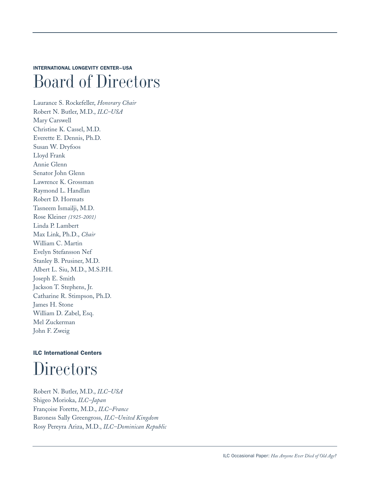INTERNATIONAL LONGEVITY CENTER–USA

### Board of Directors

Laurance S. Rockefeller, *Honorary Chair* Robert N. Butler, M.D., *ILC–USA* Mary Carswell Christine K. Cassel, M.D. Everette E. Dennis, Ph.D. Susan W. Dryfoos Lloyd Frank Annie Glenn Senator John Glenn Lawrence K. Grossman Raymond L. Handlan Robert D. Hormats Tasneem Ismailji, M.D. Rose Kleiner *(1925-2001)* Linda P. Lambert Max Link, Ph.D., *Chair* William C. Martin Evelyn Stefansson Nef Stanley B. Prusiner, M.D. Albert L. Siu, M.D., M.S.P.H. Joseph E. Smith Jackson T. Stephens, Jr. Catharine R. Stimpson, Ph.D. James H. Stone William D. Zabel, Esq. Mel Zuckerman John F. Zweig

### ILC International Centers **Directors**

Robert N. Butler, M.D., *ILC–USA* Shigeo Morioka, *ILC–Japan* Françoise Forette, M.D., *ILC–France* Baroness Sally Greengross, *ILC–United Kingdom* Rosy Pereyra Ariza, M.D., *ILC–Dominican Republic*